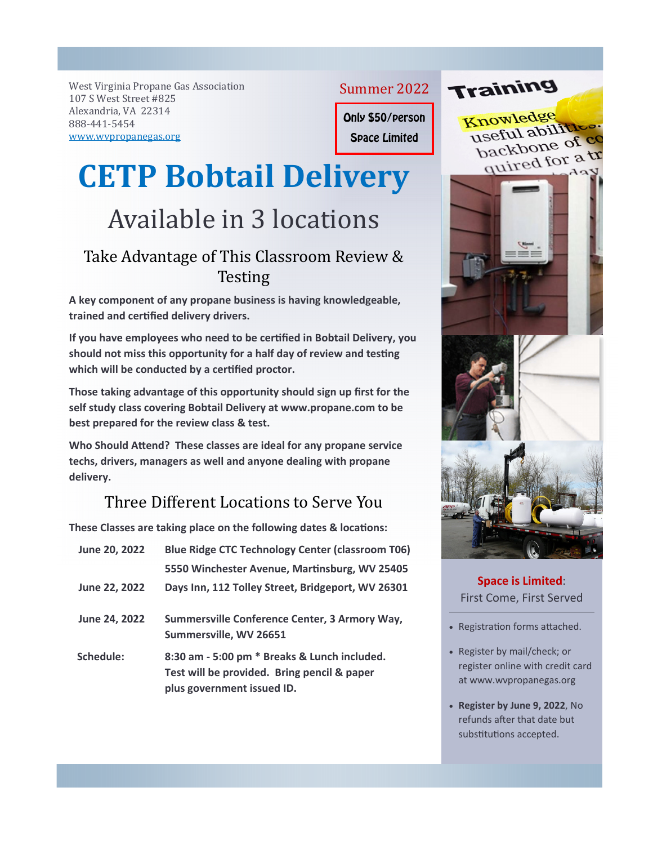West Virginia Propane Gas Association 107 S West Street #825 Alexandria, VA 22314 888-441-5454 www.wvpropanegas.org

Summer 2022

Only \$50/person

Space Limited

## **CETP Bobtail Delivery**

## Available in 3 locations

## Take Advantage of This Classroom Review & **Testing**

**A key component of any propane business is having knowledgeable, trained and cerƟfied delivery drivers.** 

If you have employees who need to be certified in Bobtail Delivery, you should not miss this opportunity for a half day of review and testing which will be conducted by a certified proctor.

**Those taking advantage of this opportunity should sign up first for the self study class covering Bobtail Delivery at www.propane.com to be best prepared for the review class & test.** 

**Who Should AƩend? These classes are ideal for any propane service techs, drivers, managers as well and anyone dealing with propane delivery.**

## Three Different Locations to Serve You

These Classes are taking place on the following dates & locations:

| June 20, 2022 | <b>Blue Ridge CTC Technology Center (classroom T06)</b>                                                                   |
|---------------|---------------------------------------------------------------------------------------------------------------------------|
|               | 5550 Winchester Avenue, Martinsburg, WV 25405                                                                             |
| June 22, 2022 | Days Inn, 112 Tolley Street, Bridgeport, WV 26301                                                                         |
| June 24, 2022 | Summersville Conference Center, 3 Armory Way,<br>Summersville, WV 26651                                                   |
| Schedule:     | 8:30 am - 5:00 pm * Breaks & Lunch included.<br>Test will be provided. Bring pencil & paper<br>plus government issued ID. |



Training

**Space is Limited**: First Come, First Served

- Registration forms attached.
- Register by mail/check; or register online with credit card at www.wvpropanegas.org
- **Register by June 9, 2022**, No refunds after that date but substitutions accepted.